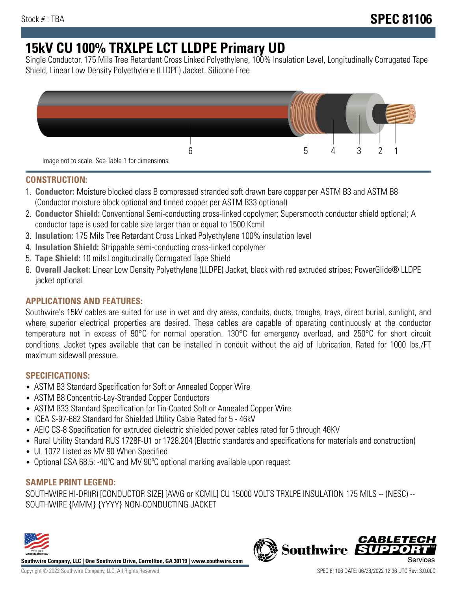# **15kV CU 100% TRXLPE LCT LLDPE Primary UD**

Single Conductor, 175 Mils Tree Retardant Cross Linked Polyethylene, 100% Insulation Level, Longitudinally Corrugated Tape Shield, Linear Low Density Polyethylene (LLDPE) Jacket. Silicone Free



## **CONSTRUCTION:**

- 1. **Conductor:** Moisture blocked class B compressed stranded soft drawn bare copper per ASTM B3 and ASTM B8 (Conductor moisture block optional and tinned copper per ASTM B33 optional)
- 2. **Conductor Shield:** Conventional Semi-conducting cross-linked copolymer; Supersmooth conductor shield optional; A conductor tape is used for cable size larger than or equal to 1500 Kcmil
- 3. **Insulation:** 175 Mils Tree Retardant Cross Linked Polyethylene 100% insulation level
- 4. **Insulation Shield:** Strippable semi-conducting cross-linked copolymer
- 5. **Tape Shield:** 10 mils Longitudinally Corrugated Tape Shield
- 6. **Overall Jacket:** Linear Low Density Polyethylene (LLDPE) Jacket, black with red extruded stripes; PowerGlide® LLDPE jacket optional

# **APPLICATIONS AND FEATURES:**

Southwire's 15kV cables are suited for use in wet and dry areas, conduits, ducts, troughs, trays, direct burial, sunlight, and where superior electrical properties are desired. These cables are capable of operating continuously at the conductor temperature not in excess of 90°C for normal operation. 130°C for emergency overload, and 250°C for short circuit conditions. Jacket types available that can be installed in conduit without the aid of lubrication. Rated for 1000 lbs./FT maximum sidewall pressure.

# **SPECIFICATIONS:**

- ASTM B3 Standard Specification for Soft or Annealed Copper Wire
- ASTM B8 Concentric-Lay-Stranded Copper Conductors
- ASTM B33 Standard Specification for Tin-Coated Soft or Annealed Copper Wire
- ICEA S-97-682 Standard for Shielded Utility Cable Rated for 5 46kV
- AEIC CS-8 Specification for extruded dielectric shielded power cables rated for 5 through 46KV
- Rural Utility Standard RUS 1728F-U1 or 1728.204 (Electric standards and specifications for materials and construction)
- UL 1072 Listed as MV 90 When Specified
- Optional CSA 68.5: -40°C and MV 90°C optional marking available upon request

# **SAMPLE PRINT LEGEND:**

SOUTHWIRE HI-DRI(R) [CONDUCTOR SIZE] [AWG or KCMIL] CU 15000 VOLTS TRXLPE INSULATION 175 MILS -- (NESC) -- SOUTHWIRE {MMM} {YYYY} NON-CONDUCTING JACKET



**Southwire Company, LLC | One Southwire Drive, Carrollton, GA 30119 | www.southwire.com**